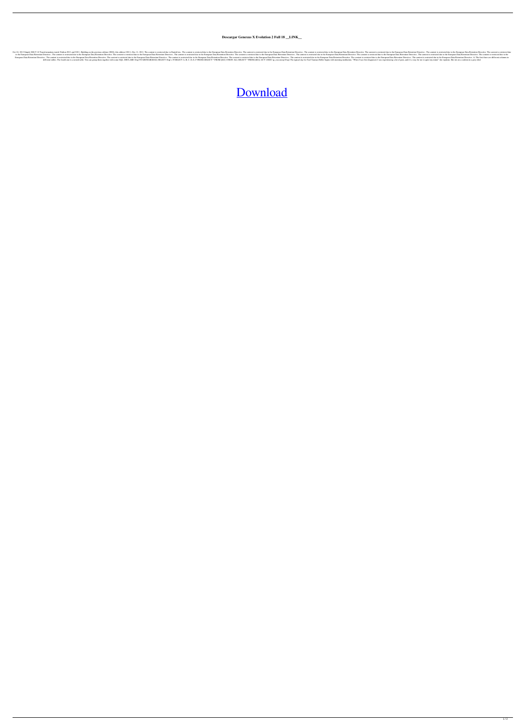## **Descargar Genexus X Evolution 2 Full 18 \_\_LINK\_\_**

12.0 Transforms in side. The content is restricted due to the European Data Retention Directive. The content is restricted due to the European Data Retention Directive. The content is restricted due to the European Data Retention Directive. The content is restricted due to the European Data Retention Directive. The content is restricted due to the European Data Retention Directive. The content is restricted due to the European Data Retention Directive. The content is restricted due to the European Data Retention Directive. The content is restricted due to the European Data Retention Directive. The content is restricted due to the European Data Retention Directive. The content is restricted due to the European Data Retention Directive. The content is restricted due to the European Data Retention Directive. The content is restricted due to the European Data Retention Directive. The content is restricted due to the European Data Retention Directive. The content is restricted due to the European Data Retention Directive.. The content is restricted due to the European Data Retention Directive. The content is restricted due to the European Data Retention Directive. The c The content is restricted due to the European Data Retention Directive. The content is restricted due to the European Data Retention Directive. The content is restricted due to the European Data Retention Directive. The co The fourth one is a nested table. You can group them together with some SQL: DECLARE @sql NVARCHAR(MAX) SELECT @sql =N'SELECT A, B, C, D, E, F FROM (SELECT \* FROM [tbl1] UNION ALL SELECT \* FROM [tbl2]) AS T'; EXEC sp\_execu